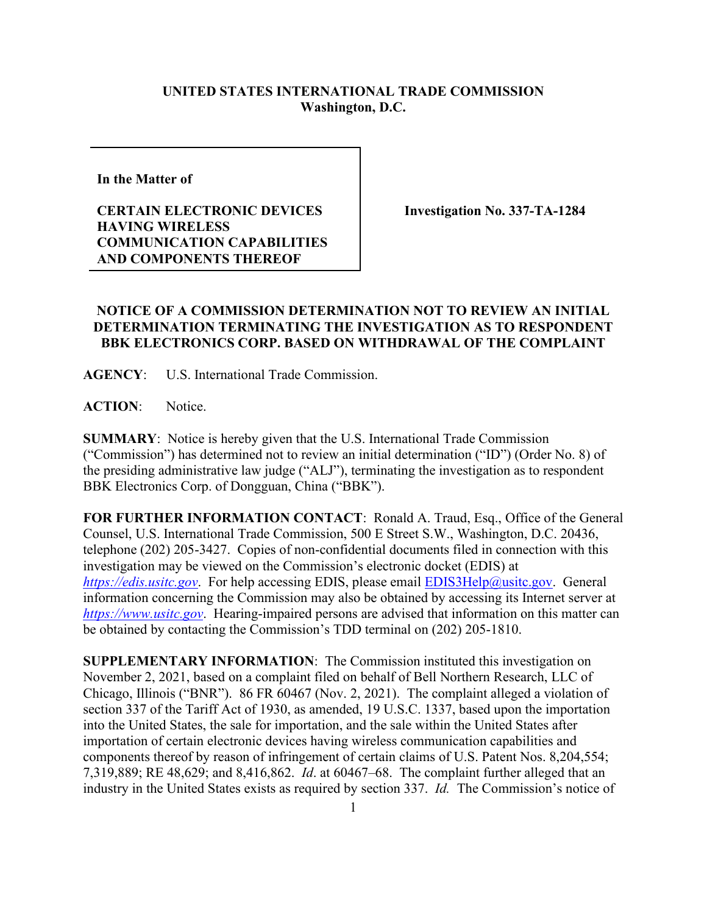## **UNITED STATES INTERNATIONAL TRADE COMMISSION Washington, D.C.**

**In the Matter of** 

## **CERTAIN ELECTRONIC DEVICES HAVING WIRELESS COMMUNICATION CAPABILITIES AND COMPONENTS THEREOF**

**Investigation No. 337-TA-1284**

## **NOTICE OF A COMMISSION DETERMINATION NOT TO REVIEW AN INITIAL DETERMINATION TERMINATING THE INVESTIGATION AS TO RESPONDENT BBK ELECTRONICS CORP. BASED ON WITHDRAWAL OF THE COMPLAINT**

**AGENCY**: U.S. International Trade Commission.

**ACTION**: Notice.

**SUMMARY**: Notice is hereby given that the U.S. International Trade Commission ("Commission") has determined not to review an initial determination ("ID") (Order No. 8) of the presiding administrative law judge ("ALJ"), terminating the investigation as to respondent BBK Electronics Corp. of Dongguan, China ("BBK").

**FOR FURTHER INFORMATION CONTACT**: Ronald A. Traud, Esq., Office of the General Counsel, U.S. International Trade Commission, 500 E Street S.W., Washington, D.C. 20436, telephone (202) 205-3427. Copies of non-confidential documents filed in connection with this investigation may be viewed on the Commission's electronic docket (EDIS) at *[https://edis.usitc.gov](https://edis.usitc.gov/).* For help accessing EDIS, please email [EDIS3Help@usitc.gov.](mailto:EDIS3Help@usitc.gov) General information concerning the Commission may also be obtained by accessing its Internet server at *[https://www.usitc.gov](https://www.usitc.gov/)*. Hearing-impaired persons are advised that information on this matter can be obtained by contacting the Commission's TDD terminal on (202) 205-1810.

**SUPPLEMENTARY INFORMATION**: The Commission instituted this investigation on November 2, 2021, based on a complaint filed on behalf of Bell Northern Research, LLC of Chicago, Illinois ("BNR"). 86 FR 60467 (Nov. 2, 2021). The complaint alleged a violation of section 337 of the Tariff Act of 1930, as amended, 19 U.S.C. 1337, based upon the importation into the United States, the sale for importation, and the sale within the United States after importation of certain electronic devices having wireless communication capabilities and components thereof by reason of infringement of certain claims of U.S. Patent Nos. 8,204,554; 7,319,889; RE 48,629; and 8,416,862. *Id*. at 60467–68. The complaint further alleged that an industry in the United States exists as required by section 337. *Id.* The Commission's notice of